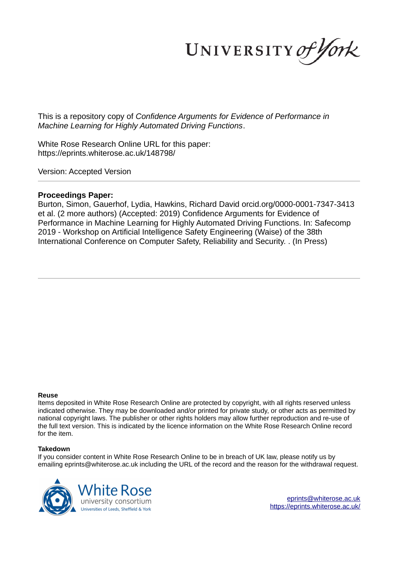UNIVERSITY of York

This is a repository copy of *Confidence Arguments for Evidence of Performance in Machine Learning for Highly Automated Driving Functions*.

White Rose Research Online URL for this paper: https://eprints.whiterose.ac.uk/148798/

Version: Accepted Version

# **Proceedings Paper:**

Burton, Simon, Gauerhof, Lydia, Hawkins, Richard David orcid.org/0000-0001-7347-3413 et al. (2 more authors) (Accepted: 2019) Confidence Arguments for Evidence of Performance in Machine Learning for Highly Automated Driving Functions. In: Safecomp 2019 - Workshop on Artificial Intelligence Safety Engineering (Waise) of the 38th International Conference on Computer Safety, Reliability and Security. . (In Press)

#### **Reuse**

Items deposited in White Rose Research Online are protected by copyright, with all rights reserved unless indicated otherwise. They may be downloaded and/or printed for private study, or other acts as permitted by national copyright laws. The publisher or other rights holders may allow further reproduction and re-use of the full text version. This is indicated by the licence information on the White Rose Research Online record for the item.

# **Takedown**

If you consider content in White Rose Research Online to be in breach of UK law, please notify us by emailing eprints@whiterose.ac.uk including the URL of the record and the reason for the withdrawal request.



eprints@whiterose.ac.uk https://eprints.whiterose.ac.uk/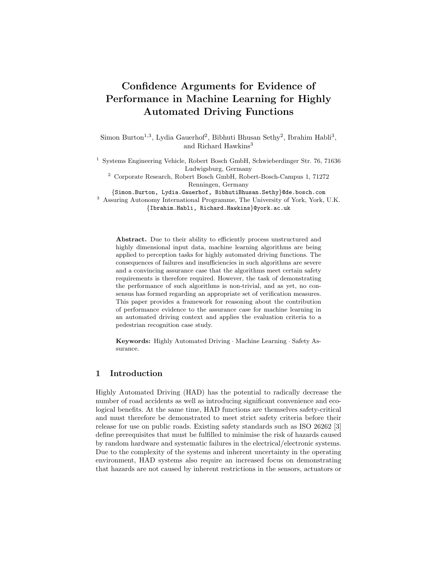# Confidence Arguments for Evidence of Performance in Machine Learning for Highly Automated Driving Functions

Simon Burton<sup>1,3</sup>, Lydia Gauerhof<sup>2</sup>, Bibhuti Bhusan Sethy<sup>2</sup>, Ibrahim Habli<sup>3</sup>, and Richard Hawkins<sup>3</sup>

<sup>1</sup> Systems Engineering Vehicle, Robert Bosch GmbH, Schwieberdinger Str. 76, 71636 Ludwigsburg, Germany <sup>2</sup> Corporate Research, Robert Bosch GmbH, Robert-Bosch-Campus 1, 71272

Renningen, Germany

{Simon.Burton, Lydia.Gauerhof, BibhutiBhusan.Sethy}@de.bosch.com

<sup>3</sup> Assuring Autonomy International Programme, The University of York, York, U.K. {Ibrahim.Habli, Richard.Hawkins}@york.ac.uk

Abstract. Due to their ability to efficiently process unstructured and highly dimensional input data, machine learning algorithms are being applied to perception tasks for highly automated driving functions. The consequences of failures and insufficiencies in such algorithms are severe and a convincing assurance case that the algorithms meet certain safety requirements is therefore required. However, the task of demonstrating the performance of such algorithms is non-trivial, and as yet, no consensus has formed regarding an appropriate set of verification measures. This paper provides a framework for reasoning about the contribution of performance evidence to the assurance case for machine learning in an automated driving context and applies the evaluation criteria to a pedestrian recognition case study.

Keywords: Highly Automated Driving · Machine Learning · Safety Assurance.

# 1 Introduction

Highly Automated Driving (HAD) has the potential to radically decrease the number of road accidents as well as introducing significant convenience and ecological benefits. At the same time, HAD functions are themselves safety-critical and must therefore be demonstrated to meet strict safety criteria before their release for use on public roads. Existing safety standards such as ISO 26262 [3] define prerequisites that must be fulfilled to minimise the risk of hazards caused by random hardware and systematic failures in the electrical/electronic systems. Due to the complexity of the systems and inherent uncertainty in the operating environment, HAD systems also require an increased focus on demonstrating that hazards are not caused by inherent restrictions in the sensors, actuators or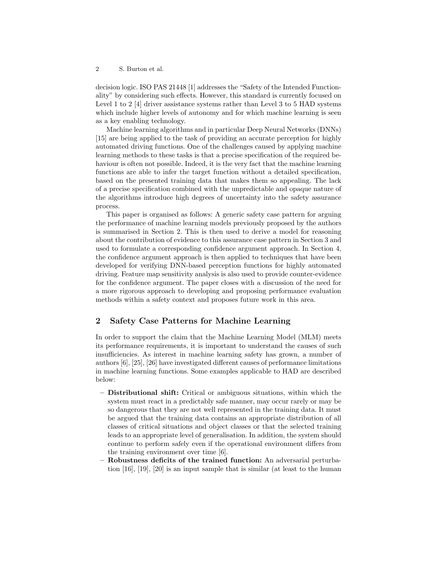decision logic. ISO PAS 21448 [1] addresses the "Safety of the Intended Functionality" by considering such effects. However, this standard is currently focused on Level 1 to 2 [4] driver assistance systems rather than Level 3 to 5 HAD systems which include higher levels of autonomy and for which machine learning is seen as a key enabling technology.

Machine learning algorithms and in particular Deep Neural Networks (DNNs) [15] are being applied to the task of providing an accurate perception for highly automated driving functions. One of the challenges caused by applying machine learning methods to these tasks is that a precise specification of the required behaviour is often not possible. Indeed, it is the very fact that the machine learning functions are able to infer the target function without a detailed specification, based on the presented training data that makes them so appealing. The lack of a precise specification combined with the unpredictable and opaque nature of the algorithms introduce high degrees of uncertainty into the safety assurance process.

This paper is organised as follows: A generic safety case pattern for arguing the performance of machine learning models previously proposed by the authors is summarised in Section 2. This is then used to derive a model for reasoning about the contribution of evidence to this assurance case pattern in Section 3 and used to formulate a corresponding confidence argument approach. In Section 4, the confidence argument approach is then applied to techniques that have been developed for verifying DNN-based perception functions for highly automated driving. Feature map sensitivity analysis is also used to provide counter-evidence for the confidence argument. The paper closes with a discussion of the need for a more rigorous approach to developing and proposing performance evaluation methods within a safety context and proposes future work in this area.

# 2 Safety Case Patterns for Machine Learning

In order to support the claim that the Machine Learning Model (MLM) meets its performance requirements, it is important to understand the causes of such insufficiencies. As interest in machine learning safety has grown, a number of authors [6], [25], [26] have investigated different causes of performance limitations in machine learning functions. Some examples applicable to HAD are described below:

- Distributional shift: Critical or ambiguous situations, within which the system must react in a predictably safe manner, may occur rarely or may be so dangerous that they are not well represented in the training data. It must be argued that the training data contains an appropriate distribution of all classes of critical situations and object classes or that the selected training leads to an appropriate level of generalisation. In addition, the system should continue to perform safely even if the operational environment differs from the training environment over time [6].
- Robustness deficits of the trained function: An adversarial perturbation [16], [19], [20] is an input sample that is similar (at least to the human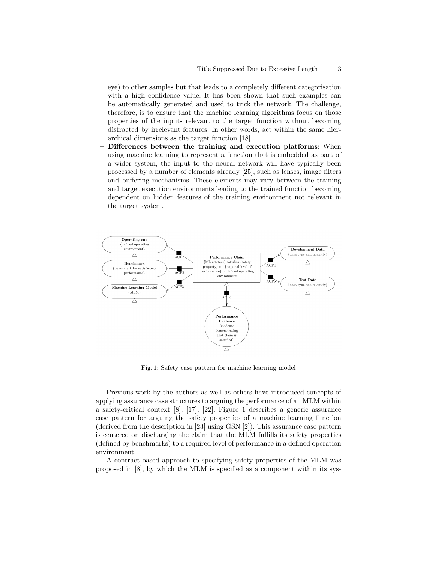eye) to other samples but that leads to a completely different categorisation with a high confidence value. It has been shown that such examples can be automatically generated and used to trick the network. The challenge, therefore, is to ensure that the machine learning algorithms focus on those properties of the inputs relevant to the target function without becoming distracted by irrelevant features. In other words, act within the same hierarchical dimensions as the target function [18].

– Differences between the training and execution platforms: When using machine learning to represent a function that is embedded as part of a wider system, the input to the neural network will have typically been processed by a number of elements already [25], such as lenses, image filters and buffering mechanisms. These elements may vary between the training and target execution environments leading to the trained function becoming dependent on hidden features of the training environment not relevant in the target system.



Fig. 1: Safety case pattern for machine learning model

Previous work by the authors as well as others have introduced concepts of applying assurance case structures to arguing the performance of an MLM within a safety-critical context [8], [17], [22]. Figure 1 describes a generic assurance case pattern for arguing the safety properties of a machine learning function (derived from the description in [23] using GSN [2]). This assurance case pattern is centered on discharging the claim that the MLM fulfills its safety properties (defined by benchmarks) to a required level of performance in a defined operation environment.

A contract-based approach to specifying safety properties of the MLM was proposed in [8], by which the MLM is specified as a component within its sys-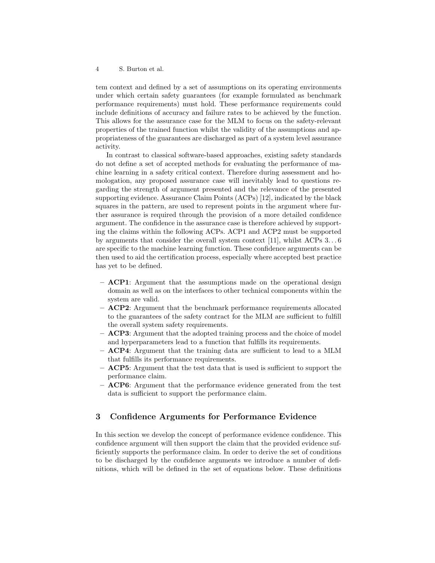tem context and defined by a set of assumptions on its operating environments under which certain safety guarantees (for example formulated as benchmark performance requirements) must hold. These performance requirements could include definitions of accuracy and failure rates to be achieved by the function. This allows for the assurance case for the MLM to focus on the safety-relevant properties of the trained function whilst the validity of the assumptions and appropriateness of the guarantees are discharged as part of a system level assurance activity.

In contrast to classical software-based approaches, existing safety standards do not define a set of accepted methods for evaluating the performance of machine learning in a safety critical context. Therefore during assessment and homologation, any proposed assurance case will inevitably lead to questions regarding the strength of argument presented and the relevance of the presented supporting evidence. Assurance Claim Points (ACPs) [12], indicated by the black squares in the pattern, are used to represent points in the argument where further assurance is required through the provision of a more detailed confidence argument. The confidence in the assurance case is therefore achieved by supporting the claims within the following ACPs. ACP1 and ACP2 must be supported by arguments that consider the overall system context [11], whilst  $ACPs$  3...6 are specific to the machine learning function. These confidence arguments can be then used to aid the certification process, especially where accepted best practice has yet to be defined.

- ACP1: Argument that the assumptions made on the operational design domain as well as on the interfaces to other technical components within the system are valid.
- $-$  ACP2: Argument that the benchmark performance requirements allocated to the guarantees of the safety contract for the MLM are sufficient to fulfill the overall system safety requirements.
- ACP3: Argument that the adopted training process and the choice of model and hyperparameters lead to a function that fulfills its requirements.
- ACP4: Argument that the training data are sufficient to lead to a MLM that fulfills its performance requirements.
- $-$  **ACP5**: Argument that the test data that is used is sufficient to support the performance claim.
- ACP6: Argument that the performance evidence generated from the test data is sufficient to support the performance claim.

# 3 Confidence Arguments for Performance Evidence

In this section we develop the concept of performance evidence confidence. This confidence argument will then support the claim that the provided evidence sufficiently supports the performance claim. In order to derive the set of conditions to be discharged by the confidence arguments we introduce a number of definitions, which will be defined in the set of equations below. These definitions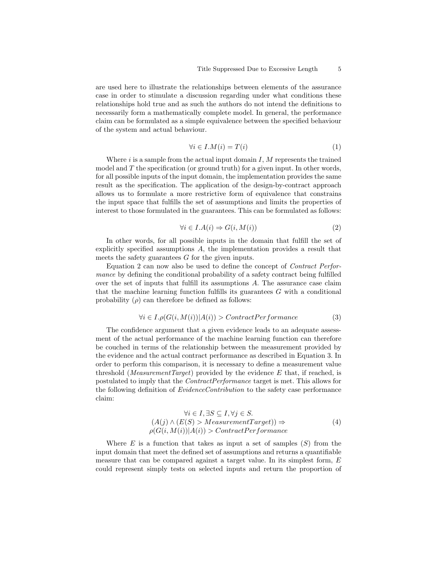are used here to illustrate the relationships between elements of the assurance case in order to stimulate a discussion regarding under what conditions these relationships hold true and as such the authors do not intend the definitions to necessarily form a mathematically complete model. In general, the performance claim can be formulated as a simple equivalence between the specified behaviour of the system and actual behaviour.

$$
\forall i \in I.M(i) = T(i) \tag{1}
$$

Where  $i$  is a sample from the actual input domain  $I, M$  represents the trained model and  $T$  the specification (or ground truth) for a given input. In other words, for all possible inputs of the input domain, the implementation provides the same result as the specification. The application of the design-by-contract approach allows us to formulate a more restrictive form of equivalence that constrains the input space that fulfills the set of assumptions and limits the properties of interest to those formulated in the guarantees. This can be formulated as follows:

$$
\forall i \in I. A(i) \Rightarrow G(i, M(i)) \tag{2}
$$

In other words, for all possible inputs in the domain that fulfill the set of explicitly specified assumptions A, the implementation provides a result that meets the safety guarantees  $G$  for the given inputs.

Equation 2 can now also be used to define the concept of Contract Performance by defining the conditional probability of a safety contract being fulfilled over the set of inputs that fulfill its assumptions A. The assurance case claim that the machine learning function fulfills its guarantees  $G$  with a conditional probability  $(\rho)$  can therefore be defined as follows:

$$
\forall i \in I. \rho(G(i, M(i)) | A(i)) > ContractPerformance
$$
\n(3)

The confidence argument that a given evidence leads to an adequate assessment of the actual performance of the machine learning function can therefore be couched in terms of the relationship between the measurement provided by the evidence and the actual contract performance as described in Equation 3. In order to perform this comparison, it is necessary to define a measurement value threshold (*MeasurementTarget*) provided by the evidence  $E$  that, if reached, is postulated to imply that the ContractPerformance target is met. This allows for the following definition of EvidenceContribution to the safety case performance claim:

$$
\forall i \in I, \exists S \subseteq I, \forall j \in S.
$$
  
(A(j) \land (E(S) > MeasurementTarget))  $\Rightarrow$   

$$
\rho(G(i, M(i))|A(i)) > ContractPerformance
$$
 (4)

Where  $E$  is a function that takes as input a set of samples  $(S)$  from the input domain that meet the defined set of assumptions and returns a quantifiable measure that can be compared against a target value. In its simplest form, E could represent simply tests on selected inputs and return the proportion of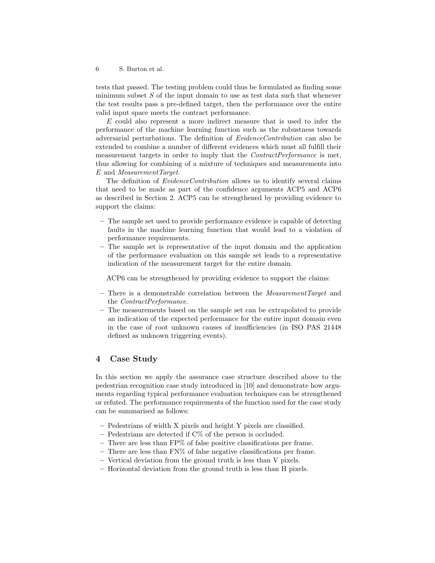tests that passed. The testing problem could thus be formulated as finding some minimum subset  $S$  of the input domain to use as test data such that whenever the test results pass a pre-defined target, then the performance over the entire valid input space meets the contract performance.

E could also represent a more indirect measure that is used to infer the performance of the machine learning function such as the robustness towards adversarial perturbations. The definition of EvidenceContribution can also be extended to combine a number of different evidences which must all fulfill their measurement targets in order to imply that the *ContractPerformance* is met, thus allowing for combining of a mixture of techniques and measurements into E and MeasurementTarget.

The definition of *EvidenceContribution* allows us to identify several claims that need to be made as part of the confidence arguments ACP5 and ACP6 as described in Section 2. ACP5 can be strengthened by providing evidence to support the claims:

- The sample set used to provide performance evidence is capable of detecting faults in the machine learning function that would lead to a violation of performance requirements.
- The sample set is representative of the input domain and the application of the performance evaluation on this sample set leads to a representative indication of the measurement target for the entire domain.

ACP6 can be strengthened by providing evidence to support the claims:

- $-$  There is a demonstrable correlation between the *MeasurementTarget* and the ContractPerformance.
- The measurements based on the sample set can be extrapolated to provide an indication of the expected performance for the entire input domain even in the case of root unknown causes of insufficiencies (in ISO PAS 21448 defined as unknown triggering events).

## 4 Case Study

In this section we apply the assurance case structure described above to the pedestrian recognition case study introduced in [10] and demonstrate how arguments regarding typical performance evaluation techniques can be strengthened or refuted. The performance requirements of the function used for the case study can be summarised as follows:

- Pedestrians of width X pixels and height Y pixels are classified.
- Pedestrians are detected if C% of the person is occluded.
- There are less than FP% of false positive classifications per frame.
- There are less than FN% of false negative classifications per frame.
- Vertical deviation from the ground truth is less than V pixels.
- Horizontal deviation from the ground truth is less than H pixels.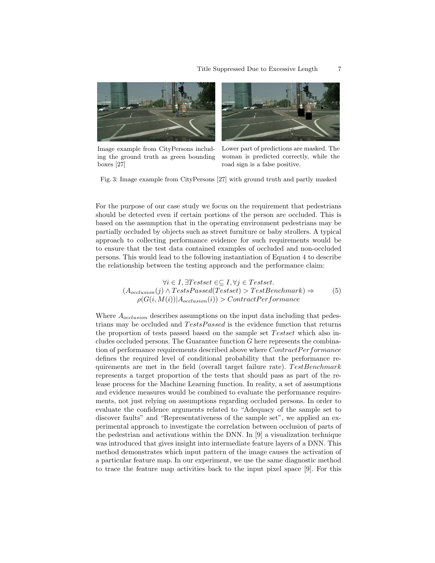

Image example from CityPersons including the ground truth as green bounding boxes [27]

Lower part of predictions are masked. The woman is predicted correctly, while the road sign is a false positive.

Fig. 3: Image example from CityPersons [27] with ground truth and partly masked

For the purpose of our case study we focus on the requirement that pedestrians should be detected even if certain portions of the person are occluded. This is based on the assumption that in the operating environment pedestrians may be partially occluded by objects such as street furniture or baby strollers. A typical approach to collecting performance evidence for such requirements would be to ensure that the test data contained examples of occluded and non-occluded persons. This would lead to the following instantiation of Equation 4 to describe the relationship between the testing approach and the performance claim:

> $\forall i \in I, \exists Testset \in \subseteq I, \forall j \in Testset.$  $(A_{oclusion}(j) \land TestSPased(Testset) > TestBenchmark) \Rightarrow$  $\rho(G(i, M(i))|A_{occlusion}(i)) > ContractPerformance$ (5)

Where  $A_{\text{occlusion}}$  describes assumptions on the input data including that pedestrians may be occluded and  $TestsPassed$  is the evidence function that returns the proportion of tests passed based on the sample set Testset which also includes occluded persons. The Guarantee function  $G$  here represents the combination of performance requirements described above where *ContractPerformance* defines the required level of conditional probability that the performance requirements are met in the field (overall target failure rate).  $TestBenchmark$ represents a target proportion of the tests that should pass as part of the release process for the Machine Learning function. In reality, a set of assumptions and evidence measures would be combined to evaluate the performance requirements, not just relying on assumptions regarding occluded persons. In order to evaluate the confidence arguments related to "Adequacy of the sample set to discover faults" and "Representativeness of the sample set", we applied an experimental approach to investigate the correlation between occlusion of parts of the pedestrian and activations within the DNN. In [9] a visualization technique was introduced that gives insight into intermediate feature layers of a DNN. This method demonstrates which input pattern of the image causes the activation of a particular feature map. In our experiment, we use the same diagnostic method to trace the feature map activities back to the input pixel space [9]. For this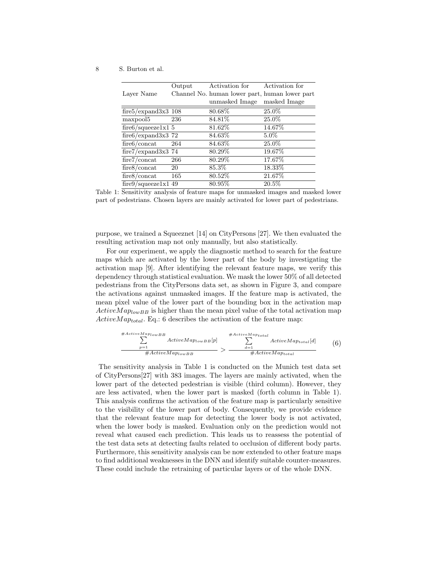|                       | Output | Activation for                                 | Activation for |
|-----------------------|--------|------------------------------------------------|----------------|
| Layer Name            |        | Channel No. human lower part, human lower part |                |
|                       |        | unmasked Image                                 | masked Image   |
| $fire5/expand3x3$ 108 |        | 80.68\%                                        | 25.0%          |
| maxpool <sub>5</sub>  | 236    | 84.81\%                                        | 25.0%          |
| fire6/squeezelx15     |        | 81.62%                                         | 14.67%         |
| fire6/expand3x372     |        | 84.63%                                         | $5.0\%$        |
| fire6/concat          | 264    | 84.63%                                         | 25.0%          |
| fire7/expand3x374     |        | 80.29%                                         | 19.67%         |
| fire7/concat          | 266    | 80.29%                                         | 17.67%         |
| fire8/concat          | 20     | 85.3%                                          | 18.33%         |
| fire8/concat          | 165    | 80.52%                                         | 21.67%         |
| fire9/squeezelx1 49   |        | 80.95%                                         | 20.5%          |

Table 1: Sensitivity analysis of feature maps for unmasked images and masked lower part of pedestrians. Chosen layers are mainly activated for lower part of pedestrians.

purpose, we trained a Squeeznet [14] on CityPersons [27]. We then evaluated the resulting activation map not only manually, but also statistically.

For our experiment, we apply the diagnostic method to search for the feature maps which are activated by the lower part of the body by investigating the activation map [9]. After identifying the relevant feature maps, we verify this dependency through statistical evaluation. We mask the lower 50% of all detected pedestrians from the CityPersons data set, as shown in Figure 3, and compare the activations against unmasked images. If the feature map is activated, the mean pixel value of the lower part of the bounding box in the activation map  $ActiveMap_{lowBB}$  is higher than the mean pixel value of the total activation map  $ActiveMap_{total}$ . Eq.: 6 describes the activation of the feature map:

$$
\frac{\sum_{p=1}^{#ActiveMap_{lowBB}}{ActiveMap_{lowBB}[p]}}{\sum_{p=1}^{#ActiveMap_{lowBB}}{}} > \frac{\sum_{d=1}^{#ActiveMap_{total}}{ActiveMap_{total}[d]}}{(6)}
$$

The sensitivity analysis in Table 1 is conducted on the Munich test data set of CityPersons[27] with 383 images. The layers are mainly activated, when the lower part of the detected pedestrian is visible (third column). However, they are less activated, when the lower part is masked (forth column in Table 1). This analysis confirms the activation of the feature map is particularly sensitive to the visibility of the lower part of body. Consequently, we provide evidence that the relevant feature map for detecting the lower body is not activated, when the lower body is masked. Evaluation only on the prediction would not reveal what caused each prediction. This leads us to reassess the potential of the test data sets at detecting faults related to occlusion of different body parts. Furthermore, this sensitivity analysis can be now extended to other feature maps to find additional weaknesses in the DNN and identify suitable counter-measures. These could include the retraining of particular layers or of the whole DNN.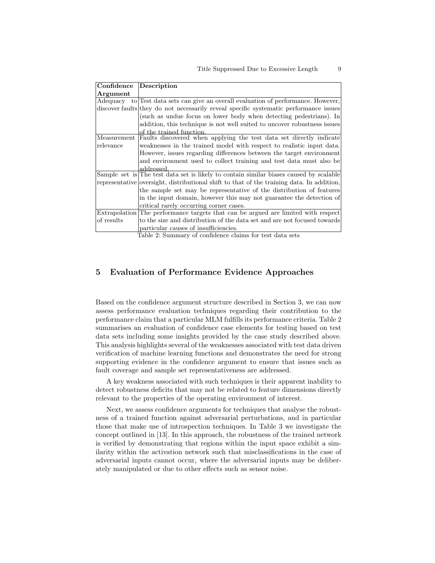| Confidence | Description                                                                               |
|------------|-------------------------------------------------------------------------------------------|
| Argument   |                                                                                           |
|            | Adequacy to Test data sets can give an overall evaluation of performance. However,        |
|            | discover faults they do not necessarily reveal specific systematic performance issues     |
|            | (such as undue focus on lower body when detecting pedestrians). In                        |
|            | addition, this technique is not well suited to uncover robustness issues                  |
|            | of the trained function.                                                                  |
|            | Measurement Faults discovered when applying the test data set directly indicate           |
| relevance  | weaknesses in the trained model with respect to realistic input data.                     |
|            | However, issues regarding differences between the target environment                      |
|            | and environment used to collect training and test data must also be                       |
|            | addressed.                                                                                |
|            | Sample set is The test data set is likely to contain similar biases caused by scalable    |
|            | representative oversight, distributional shift to that of the training data. In addition, |
|            | the sample set may be representative of the distribution of features                      |
|            | in the input domain, however this may not guarantee the detection of                      |
|            | critical rarely occurring corner cases.                                                   |
|            | Extrapolation The performance targets that can be argued are limited with respect         |
| of results | to the size and distribution of the data set and are not focused towards                  |
|            | particular causes of insufficiencies.                                                     |

Table 2: Summary of confidence claims for test data sets

### 5 Evaluation of Performance Evidence Approaches

Based on the confidence argument structure described in Section 3, we can now assess performance evaluation techniques regarding their contribution to the performance claim that a particular MLM fulfills its performance criteria. Table 2 summarises an evaluation of confidence case elements for testing based on test data sets including some insights provided by the case study described above. This analysis highlights several of the weaknesses associated with test data driven verification of machine learning functions and demonstrates the need for strong supporting evidence in the confidence argument to ensure that issues such as fault coverage and sample set representativeness are addressed.

A key weakness associated with such techniques is their apparent inability to detect robustness deficits that may not be related to feature dimensions directly relevant to the properties of the operating environment of interest.

Next, we assess confidence arguments for techniques that analyse the robustness of a trained function against adversarial perturbations, and in particular those that make use of introspection techniques. In Table 3 we investigate the concept outlined in [13]. In this approach, the robustness of the trained network is verified by demonstrating that regions within the input space exhibit a similarity within the activation network such that misclassifications in the case of adversarial inputs cannot occur, where the adversarial inputs may be deliberately manipulated or due to other effects such as sensor noise.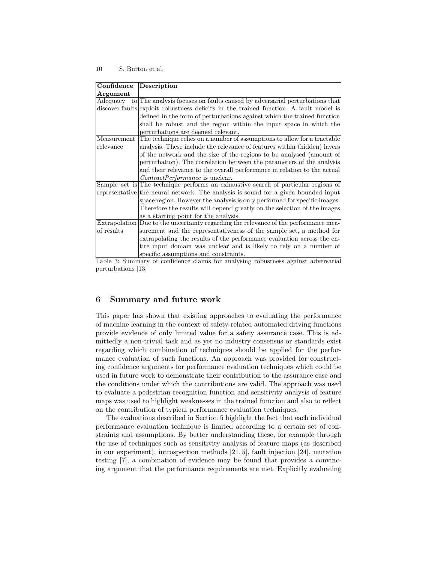| Confidence                      | Description                                                                           |
|---------------------------------|---------------------------------------------------------------------------------------|
| Argument                        |                                                                                       |
|                                 | Adequacy to The analysis focuses on faults caused by adversarial perturbations that   |
|                                 | discover faults exploit robustness deficits in the trained function. A fault model is |
|                                 | defined in the form of perturbations against which the trained function               |
|                                 | shall be robust and the region within the input space in which the                    |
|                                 | perturbations are deemed relevant.                                                    |
| Measurement                     | The technique relies on a number of assumptions to allow for a tractable              |
| relevance                       | analysis. These include the relevance of features within (hidden) layers              |
|                                 | of the network and the size of the regions to be analysed (amount of                  |
|                                 | perturbation). The correlation between the parameters of the analysis                 |
|                                 | and their relevance to the overall performance in relation to the actual              |
|                                 | <i>ContractPerformance</i> is unclear.                                                |
|                                 | Sample set is The technique performs an exhaustive search of particular regions of    |
|                                 | representative the neural network. The analysis is sound for a given bounded input    |
|                                 | space region. However the analysis is only performed for specific images.             |
|                                 | Therefore the results will depend greatly on the selection of the images              |
|                                 | as a starting point for the analysis.                                                 |
|                                 | Extrapolation Due to the uncertainty regarding the relevance of the performance mea-  |
| of results                      | surement and the representativeness of the sample set, a method for                   |
|                                 | extrapolating the results of the performance evaluation across the en-                |
|                                 | tire input domain was unclear and is likely to rely on a number of                    |
| $\sim$ 11.<br>$\Omega$ $\Omega$ | specific assumptions and constraints.<br>$^{\circ}$ 1                                 |

Table 3: Summary of confidence claims for analysing robustness against adversarial perturbations [13]

#### 6 Summary and future work

This paper has shown that existing approaches to evaluating the performance of machine learning in the context of safety-related automated driving functions provide evidence of only limited value for a safety assurance case. This is admittedly a non-trivial task and as yet no industry consensus or standards exist regarding which combination of techniques should be applied for the performance evaluation of such functions. An approach was provided for constructing confidence arguments for performance evaluation techniques which could be used in future work to demonstrate their contribution to the assurance case and the conditions under which the contributions are valid. The approach was used to evaluate a pedestrian recognition function and sensitivity analysis of feature maps was used to highlight weaknesses in the trained function and also to reflect on the contribution of typical performance evaluation techniques.

The evaluations described in Section 5 highlight the fact that each individual performance evaluation technique is limited according to a certain set of constraints and assumptions. By better understanding these, for example through the use of techniques such as sensitivity analysis of feature maps (as described in our experiment), introspection methods [21, 5], fault injection [24], mutation testing [7], a combination of evidence may be found that provides a convincing argument that the performance requirements are met. Explicitly evaluating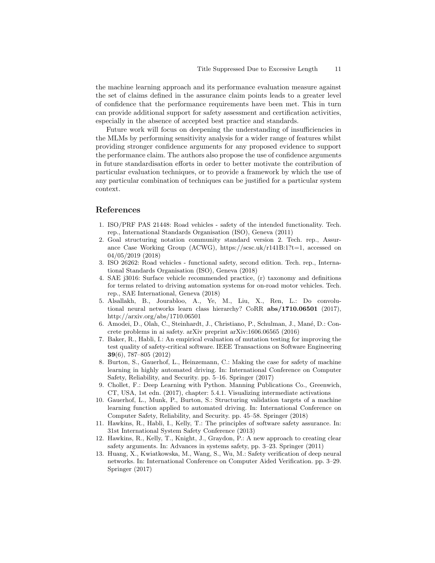the machine learning approach and its performance evaluation measure against the set of claims defined in the assurance claim points leads to a greater level of confidence that the performance requirements have been met. This in turn can provide additional support for safety assessment and certification activities, especially in the absence of accepted best practice and standards.

Future work will focus on deepening the understanding of insufficiencies in the MLMs by performing sensitivity analysis for a wider range of features whilst providing stronger confidence arguments for any proposed evidence to support the performance claim. The authors also propose the use of confidence arguments in future standardisation efforts in order to better motivate the contribution of particular evaluation techniques, or to provide a framework by which the use of any particular combination of techniques can be justified for a particular system context.

#### References

- 1. ISO/PRF PAS 21448: Road vehicles safety of the intended functionality. Tech. rep., International Standards Organisation (ISO), Geneva (2011)
- 2. Goal structuring notation community standard version 2. Tech. rep., Assurance Case Working Group (ACWG), https://scsc.uk/r141B:1?t=1, accessed on 04/05/2019 (2018)
- 3. ISO 26262: Road vehicles functional safety, second edition. Tech. rep., International Standards Organisation (ISO), Geneva (2018)
- 4. SAE j3016: Surface vehicle recommended practice, (r) taxonomy and definitions for terms related to driving automation systems for on-road motor vehicles. Tech. rep., SAE International, Geneva (2018)
- 5. Alsallakh, B., Jourabloo, A., Ye, M., Liu, X., Ren, L.: Do convolutional neural networks learn class hierarchy? CoRR abs/1710.06501 (2017), http://arxiv.org/abs/1710.06501
- 6. Amodei, D., Olah, C., Steinhardt, J., Christiano, P., Schulman, J., Mané, D.: Concrete problems in ai safety. arXiv preprint arXiv:1606.06565 (2016)
- 7. Baker, R., Habli, I.: An empirical evaluation of mutation testing for improving the test quality of safety-critical software. IEEE Transactions on Software Engineering 39(6), 787–805 (2012)
- 8. Burton, S., Gauerhof, L., Heinzemann, C.: Making the case for safety of machine learning in highly automated driving. In: International Conference on Computer Safety, Reliability, and Security. pp. 5–16. Springer (2017)
- 9. Chollet, F.: Deep Learning with Python. Manning Publications Co., Greenwich, CT, USA, 1st edn. (2017), chapter: 5.4.1. Visualizing intermediate activations
- 10. Gauerhof, L., Munk, P., Burton, S.: Structuring validation targets of a machine learning function applied to automated driving. In: International Conference on Computer Safety, Reliability, and Security. pp. 45–58. Springer (2018)
- 11. Hawkins, R., Habli, I., Kelly, T.: The principles of software safety assurance. In: 31st International System Safety Conference (2013)
- 12. Hawkins, R., Kelly, T., Knight, J., Graydon, P.: A new approach to creating clear safety arguments. In: Advances in systems safety, pp. 3–23. Springer (2011)
- 13. Huang, X., Kwiatkowska, M., Wang, S., Wu, M.: Safety verification of deep neural networks. In: International Conference on Computer Aided Verification. pp. 3–29. Springer (2017)